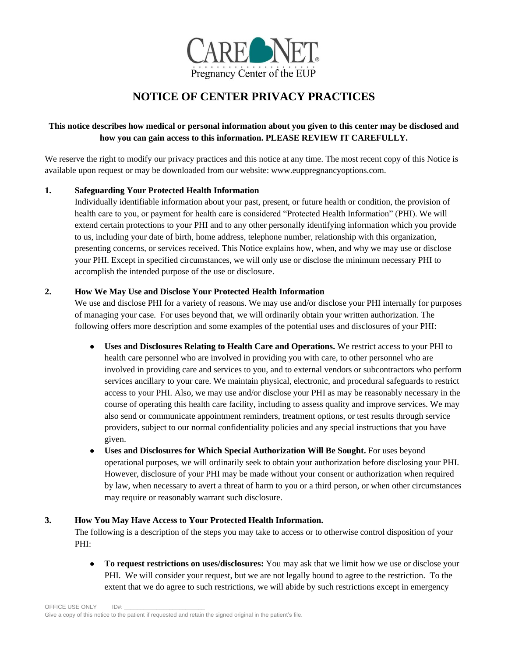

# **NOTICE OF CENTER PRIVACY PRACTICES**

## **This notice describes how medical or personal information about you given to this center may be disclosed and how you can gain access to this information. PLEASE REVIEW IT CAREFULLY.**

We reserve the right to modify our privacy practices and this notice at any time. The most recent copy of this Notice is available upon request or may be downloaded from our website: www.euppregnancyoptions.com.

## **1. Safeguarding Your Protected Health Information**

Individually identifiable information about your past, present, or future health or condition, the provision of health care to you, or payment for health care is considered "Protected Health Information" (PHI). We will extend certain protections to your PHI and to any other personally identifying information which you provide to us, including your date of birth, home address, telephone number, relationship with this organization, presenting concerns, or services received. This Notice explains how, when, and why we may use or disclose your PHI. Except in specified circumstances, we will only use or disclose the minimum necessary PHI to accomplish the intended purpose of the use or disclosure.

### **2. How We May Use and Disclose Your Protected Health Information**

We use and disclose PHI for a variety of reasons. We may use and/or disclose your PHI internally for purposes of managing your case. For uses beyond that, we will ordinarily obtain your written authorization. The following offers more description and some examples of the potential uses and disclosures of your PHI:

- **Uses and Disclosures Relating to Health Care and Operations.** We restrict access to your PHI to health care personnel who are involved in providing you with care, to other personnel who are involved in providing care and services to you, and to external vendors or subcontractors who perform services ancillary to your care. We maintain physical, electronic, and procedural safeguards to restrict access to your PHI. Also, we may use and/or disclose your PHI as may be reasonably necessary in the course of operating this health care facility, including to assess quality and improve services. We may also send or communicate appointment reminders, treatment options, or test results through service providers, subject to our normal confidentiality policies and any special instructions that you have given.
- **Uses and Disclosures for Which Special Authorization Will Be Sought.** For uses beyond operational purposes, we will ordinarily seek to obtain your authorization before disclosing your PHI. However, disclosure of your PHI may be made without your consent or authorization when required by law, when necessary to avert a threat of harm to you or a third person, or when other circumstances may require or reasonably warrant such disclosure.

### **3. How You May Have Access to Your Protected Health Information.**

The following is a description of the steps you may take to access or to otherwise control disposition of your PHI:

● **To request restrictions on uses/disclosures:** You may ask that we limit how we use or disclose your PHI. We will consider your request, but we are not legally bound to agree to the restriction. To the extent that we do agree to such restrictions, we will abide by such restrictions except in emergency